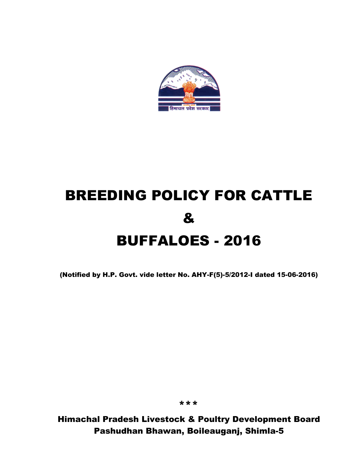

# BREEDING POLICY FOR CATTLE & BUFFALOES - 2016

(Notified by H.P. Govt. vide letter No. AHY-F(5)-5/2012-I dated 15-06-2016)

\*\*\*

Himachal Pradesh Livestock & Poultry Development Board Pashudhan Bhawan, Boileauganj, Shimla-5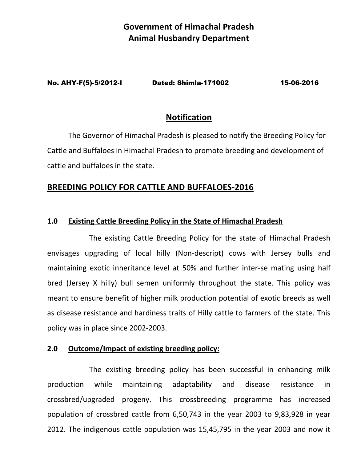## **Government of Himachal Pradesh Animal Husbandry Department**

No. AHY-F(5)-5/2012-I Dated: Shimla-171002 15-06-2016

## **Notification**

The Governor of Himachal Pradesh is pleased to notify the Breeding Policy for Cattle and Buffaloes in Himachal Pradesh to promote breeding and development of cattle and buffaloes in the state.

## **BREEDING POLICY FOR CATTLE AND BUFFALOES-2016**

## **1.0 Existing Cattle Breeding Policy in the State of Himachal Pradesh**

The existing Cattle Breeding Policy for the state of Himachal Pradesh envisages upgrading of local hilly (Non-descript) cows with Jersey bulls and maintaining exotic inheritance level at 50% and further inter-se mating using half bred (Jersey X hilly) bull semen uniformly throughout the state. This policy was meant to ensure benefit of higher milk production potential of exotic breeds as well as disease resistance and hardiness traits of Hilly cattle to farmers of the state. This policy was in place since 2002-2003.

## **2.0 Outcome/Impact of existing breeding policy:**

The existing breeding policy has been successful in enhancing milk production while maintaining adaptability and disease resistance in crossbred/upgraded progeny. This crossbreeding programme has increased population of crossbred cattle from 6,50,743 in the year 2003 to 9,83,928 in year 2012. The indigenous cattle population was 15,45,795 in the year 2003 and now it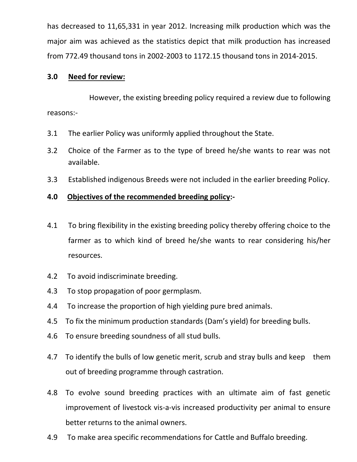has decreased to 11,65,331 in year 2012. Increasing milk production which was the major aim was achieved as the statistics depict that milk production has increased from 772.49 thousand tons in 2002-2003 to 1172.15 thousand tons in 2014-2015.

#### **3.0 Need for review:**

However, the existing breeding policy required a review due to following reasons:-

- 3.1 The earlier Policy was uniformly applied throughout the State.
- 3.2 Choice of the Farmer as to the type of breed he/she wants to rear was not available.
- 3.3 Established indigenous Breeds were not included in the earlier breeding Policy.

## **4.0 Objectives of the recommended breeding policy:-**

- 4.1 To bring flexibility in the existing breeding policy thereby offering choice to the farmer as to which kind of breed he/she wants to rear considering his/her resources.
- 4.2 To avoid indiscriminate breeding.
- 4.3 To stop propagation of poor germplasm.
- 4.4 To increase the proportion of high yielding pure bred animals.
- 4.5 To fix the minimum production standards (Dam's yield) for breeding bulls.
- 4.6 To ensure breeding soundness of all stud bulls.
- 4.7 To identify the bulls of low genetic merit, scrub and stray bulls and keep them out of breeding programme through castration.
- 4.8 To evolve sound breeding practices with an ultimate aim of fast genetic improvement of livestock vis-a-vis increased productivity per animal to ensure better returns to the animal owners.
- 4.9 To make area specific recommendations for Cattle and Buffalo breeding.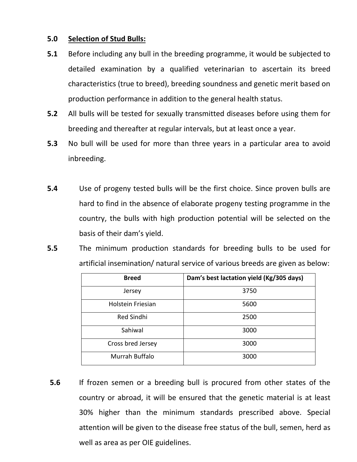## **5.0 Selection of Stud Bulls:**

- **5.1** Before including any bull in the breeding programme, it would be subjected to detailed examination by a qualified veterinarian to ascertain its breed characteristics (true to breed), breeding soundness and genetic merit based on production performance in addition to the general health status.
- **5.2** All bulls will be tested for sexually transmitted diseases before using them for breeding and thereafter at regular intervals, but at least once a year.
- **5.3** No bull will be used for more than three years in a particular area to avoid inbreeding.
- **5.4** Use of progeny tested bulls will be the first choice. Since proven bulls are hard to find in the absence of elaborate progeny testing programme in the country, the bulls with high production potential will be selected on the basis of their dam's yield.
- **5.5** The minimum production standards for breeding bulls to be used for artificial insemination/ natural service of various breeds are given as below:

| <b>Breed</b>      | Dam's best lactation yield (Kg/305 days) |
|-------------------|------------------------------------------|
| Jersey            | 3750                                     |
| Holstein Friesian | 5600                                     |
| <b>Red Sindhi</b> | 2500                                     |
| Sahiwal           | 3000                                     |
| Cross bred Jersey | 3000                                     |
| Murrah Buffalo    | 3000                                     |

**5.6** If frozen semen or a breeding bull is procured from other states of the country or abroad, it will be ensured that the genetic material is at least 30% higher than the minimum standards prescribed above. Special attention will be given to the disease free status of the bull, semen, herd as well as area as per OIE guidelines.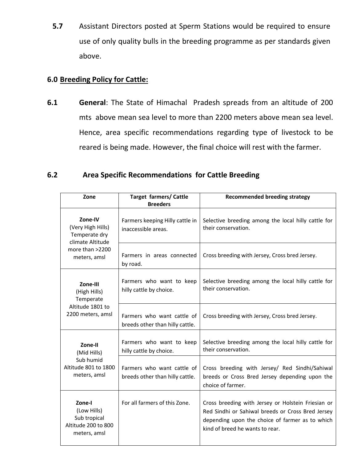**5.7** Assistant Directors posted at Sperm Stations would be required to ensure use of only quality bulls in the breeding programme as per standards given above.

## **6.0 Breeding Policy for Cattle:**

**6.1 General**: The State of Himachal Pradesh spreads from an altitude of 200 mts above mean sea level to more than 2200 meters above mean sea level. Hence, area specific recommendations regarding type of livestock to be reared is being made. However, the final choice will rest with the farmer.

## **6.2 Area Specific Recommendations for Cattle Breeding**

| Zone                                                                                                 | <b>Target farmers/ Cattle</b><br><b>Breeders</b>              | <b>Recommended breeding strategy</b>                                                                                                                                                          |
|------------------------------------------------------------------------------------------------------|---------------------------------------------------------------|-----------------------------------------------------------------------------------------------------------------------------------------------------------------------------------------------|
| Zone-IV<br>(Very High Hills)<br>Temperate dry<br>climate Altitude<br>more than >2200<br>meters, amsl | Farmers keeping Hilly cattle in<br>inaccessible areas.        | Selective breeding among the local hilly cattle for<br>their conservation.                                                                                                                    |
|                                                                                                      | Farmers in areas connected<br>by road.                        | Cross breeding with Jersey, Cross bred Jersey.                                                                                                                                                |
| Zone-III<br>(High Hills)<br>Temperate<br>Altitude 1801 to<br>2200 meters, amsl                       | Farmers who want to keep<br>hilly cattle by choice.           | Selective breeding among the local hilly cattle for<br>their conservation.                                                                                                                    |
|                                                                                                      | Farmers who want cattle of<br>breeds other than hilly cattle. | Cross breeding with Jersey, Cross bred Jersey.                                                                                                                                                |
| Zone-II<br>(Mid Hills)<br>Sub humid<br>Altitude 801 to 1800<br>meters, amsl                          | Farmers who want to keep<br>hilly cattle by choice.           | Selective breeding among the local hilly cattle for<br>their conservation.                                                                                                                    |
|                                                                                                      | Farmers who want cattle of<br>breeds other than hilly cattle. | Cross breeding with Jersey/ Red Sindhi/Sahiwal<br>breeds or Cross Bred Jersey depending upon the<br>choice of farmer.                                                                         |
| Zone-I<br>(Low Hills)<br>Sub tropical<br>Altitude 200 to 800<br>meters, amsl                         | For all farmers of this Zone.                                 | Cross breeding with Jersey or Holstein Friesian or<br>Red Sindhi or Sahiwal breeds or Cross Bred Jersey<br>depending upon the choice of farmer as to which<br>kind of breed he wants to rear. |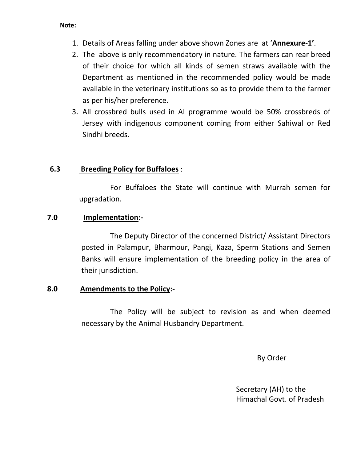#### **Note:**

- 1. Details of Areas falling under above shown Zones are at '**Annexure-1'**.
- 2. The above is only recommendatory in nature. The farmers can rear breed of their choice for which all kinds of semen straws available with the Department as mentioned in the recommended policy would be made available in the veterinary institutions so as to provide them to the farmer as per his/her preference**.**
- 3. All crossbred bulls used in AI programme would be 50% crossbreds of Jersey with indigenous component coming from either Sahiwal or Red Sindhi breeds.

## **6.3 Breeding Policy for Buffaloes** :

For Buffaloes the State will continue with Murrah semen for upgradation.

## **7.0 Implementation:-**

The Deputy Director of the concerned District/ Assistant Directors posted in Palampur, Bharmour, Pangi, Kaza, Sperm Stations and Semen Banks will ensure implementation of the breeding policy in the area of their jurisdiction.

## **8.0 Amendments to the Policy:-**

The Policy will be subject to revision as and when deemed necessary by the Animal Husbandry Department.

By Order

Secretary (AH) to the Himachal Govt. of Pradesh